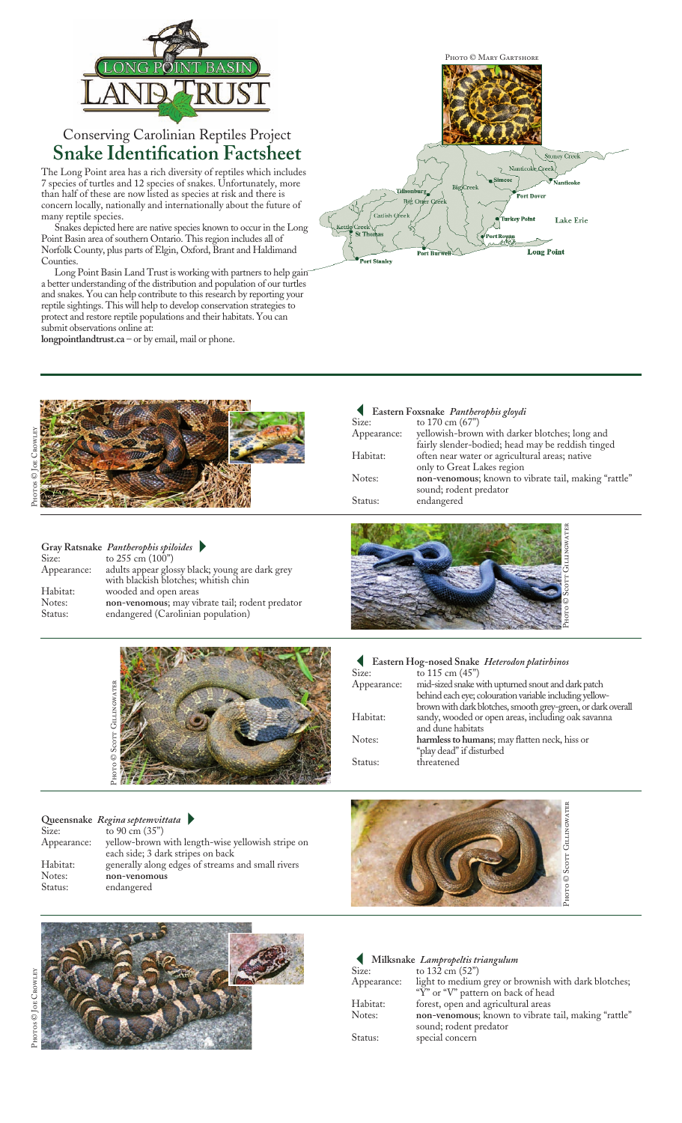

## Conserving Carolinian Reptiles Project **Snake Identification Factsheet**

The Long Point area has a rich diversity of reptiles which includes 7 species of turtles and 12 species of snakes. Unfortunately, more than half of these are now listed as species at risk and there is concern locally, nationally and internationally about the future of many reptile species.

Snakes depicted here are native species known to occur in the Long Point Basin area of southern Ontario. This region includes all of Norfolk County, plus parts of Elgin, Oxford, Brant and Haldimand **Counties** 

Long Point Basin Land Trust is working with partners to help gain a better understanding of the distribution and population of our turtles and snakes. You can help contribute to this research by reporting your reptile sightings. This will help to develop conservation strategies to protect and restore reptile populations and their habitats. You can submit observations online at:

**longpointlandtrust.ca** – or by email, mail or phone.



|             | Gray Ratsnake Pantherophis spiloides            |
|-------------|-------------------------------------------------|
| Size:       | to $255 \text{ cm} (100)$                       |
| Appearance: | adults appear glossy black; young are dark grey |
|             | with blackish blotches; whitish chin            |
| Habitat:    | wooded and open areas                           |
| Notes:      | non-venomous; may vibrate tail; rodent predator |
| Status:     | endangered (Carolinian population)              |



## **Queensnake** *Regina septemvittata*-

Size: to 90 cm (35")<br>Appearance: yellow-brown yellow-brown with length-wise yellowish stripe on each side; 3 dark stripes on back Habitat: generally along edges of streams and small rivers Notes: **non-venomous**<br>Status: endangered endangered



|             | Eastern Foxsnake Pantherophis gloydi                 |
|-------------|------------------------------------------------------|
| Size:       | to 170 cm (67")                                      |
| Appearance: | yellowish-brown with darker blotches; long and       |
|             | fairly slender-bodied; head may be reddish tinged    |
| Habitat:    | often near water or agricultural areas; native       |
|             | only to Great Lakes region                           |
| Notes:      | non-venomous; known to vibrate tail, making "rattle" |
|             | sound; rodent predator                               |
| Status:     | endangered                                           |
|             |                                                      |





| ----        | $10 - 110$                                                   |
|-------------|--------------------------------------------------------------|
| Appearance: | mid-sized snake with upturned snout and dark patch           |
|             | behind each eye; colouration variable including yellow-      |
|             | brown with dark blotches, smooth grey-green, or dark overall |
| Habitat:    | sandy, wooded or open areas, including oak savanna           |
|             | and dune habitats                                            |
| Notes:      | harmless to humans; may flatten neck, hiss or                |
|             | "play dead" if disturbed                                     |
| Status:     | threatened                                                   |
|             |                                                              |



|             | Milksnake Lampropeltis triangulum                    |
|-------------|------------------------------------------------------|
| Size:       | to $132 \text{ cm } (52)$                            |
| Appearance: | light to medium grey or brownish with dark blotches; |
|             | "Y" or "V" pattern on back of head                   |
| Habitat:    | forest, open and agricultural areas                  |
| Notes:      | non-venomous; known to vibrate tail, making "rattle" |
|             | sound; rodent predator                               |
| Status:     | special concern                                      |